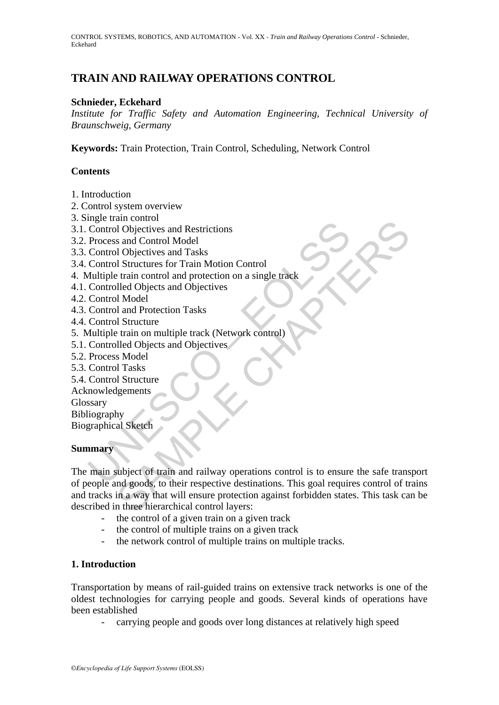CONTROL SYSTEMS, ROBOTICS, AND AUTOMATION - Vol. XX - *Train and Railway Operations Control* - Schnieder, Eckehard

## **TRAIN AND RAILWAY OPERATIONS CONTROL**

## **Schnieder, Eckehard**

*Institute for Traffic Safety and Automation Engineering, Technical University of Braunschweig, Germany* 

**Keywords:** Train Protection, Train Control, Scheduling, Network Control

## **Contents**

- 1. Introduction
- 2. Control system overview
- 3. Single train control
- 3.1. Control Objectives and Restrictions
- 3.2. Process and Control Model
- 3.3. Control Objectives and Tasks
- 3.4. Control Structures for Train Motion Control
- 4. Multiple train control and protection on a single track
- 4.1. Controlled Objects and Objectives
- 4.2. Control Model
- 4.3. Control and Protection Tasks
- 4.4. Control Structure
- 5. Multiple train on multiple track (Network control)
- 5.1. Controlled Objects and Objectives
- 5.2. Process Model
- 5.3. Control Tasks
- 5.4. Control Structure
- Acknowledgements
- Glossary

Bibliography

Biographical Sketch

#### **Summary**

ment control Objectives and Restrictions<br>
Process and Control Model<br>
Control Objectives and Tasks<br>
Control Structures for Train Motion Control<br>
1/ultipe train control and protection on a single track<br>
Controlled Objects an an Control<br>
of Objectives and Restrictions<br>
s and Control Model<br>
10 Shructures for Train Motion Control<br>
11 Shructure<br>
Lifed Objects and Objectives<br>
11 Model<br>
11 and Protection Tasks<br>
15 and Coljects and Objectives<br>
15 and The main subject of train and railway operations control is to ensure the safe transport of people and goods, to their respective destinations. This goal requires control of trains and tracks in a way that will ensure protection against forbidden states. This task can be described in three hierarchical control layers:

- the control of a given train on a given track
- the control of multiple trains on a given track
- the network control of multiple trains on multiple tracks.

#### **1. Introduction**

Transportation by means of rail-guided trains on extensive track networks is one of the oldest technologies for carrying people and goods. Several kinds of operations have been established

- carrying people and goods over long distances at relatively high speed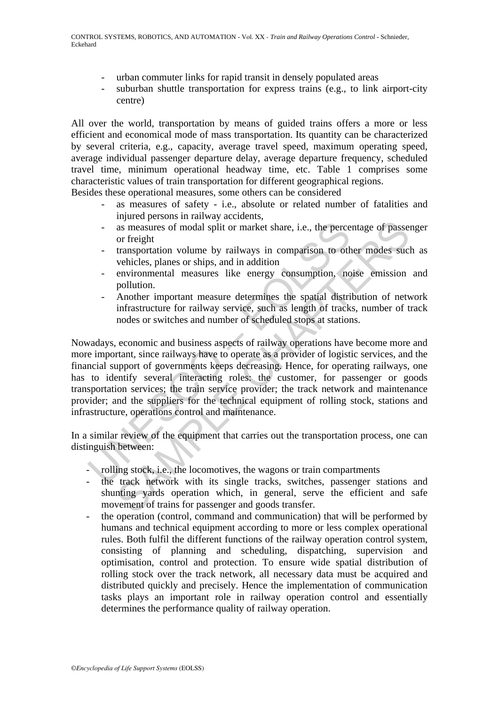- urban commuter links for rapid transit in densely populated areas
- suburban shuttle transportation for express trains (e.g., to link airport-city centre)

All over the world, transportation by means of guided trains offers a more or less efficient and economical mode of mass transportation. Its quantity can be characterized by several criteria, e.g., capacity, average travel speed, maximum operating speed, average individual passenger departure delay, average departure frequency, scheduled travel time, minimum operational headway time, etc. Table 1 comprises some characteristic values of train transportation for different geographical regions.

Besides these operational measures, some others can be considered

- as measures of safety i.e., absolute or related number of fatalities and injured persons in railway accidents,
- as measures of modal split or market share, i.e., the percentage of passenger or freight
- transportation volume by railways in comparison to other modes such as vehicles, planes or ships, and in addition
- environmental measures like energy consumption, noise emission and pollution.
- Another important measure determines the spatial distribution of network infrastructure for railway service, such as length of tracks, number of track nodes or switches and number of scheduled stops at stations.

as measures of modal split or market share, i.e., the perce<br>or freight<br>transportation volume by railways in comparison to oth<br>vehicles, planes or ships, and in addition<br>environmental measures like energy consumption, no<br>po as measures of modal split or market share, i.e., the percentage of passe<br>or freight<br>or freight<br>or freight<br>or freight<br>or masporation volume by railways in comparison to other modes sucl<br>vanicles, planes or ships, and in ad Nowadays, economic and business aspects of railway operations have become more and more important, since railways have to operate as a provider of logistic services, and the financial support of governments keeps decreasing. Hence, for operating railways, one has to identify several interacting roles: the customer, for passenger or goods transportation services; the train service provider; the track network and maintenance provider; and the suppliers for the technical equipment of rolling stock, stations and infrastructure, operations control and maintenance.

In a similar review of the equipment that carries out the transportation process, one can distinguish between:

- rolling stock, i.e., the locomotives, the wagons or train compartments
- the track network with its single tracks, switches, passenger stations and shunting yards operation which, in general, serve the efficient and safe movement of trains for passenger and goods transfer.
- the operation (control, command and communication) that will be performed by humans and technical equipment according to more or less complex operational rules. Both fulfil the different functions of the railway operation control system, consisting of planning and scheduling, dispatching, supervision and optimisation, control and protection. To ensure wide spatial distribution of rolling stock over the track network, all necessary data must be acquired and distributed quickly and precisely. Hence the implementation of communication tasks plays an important role in railway operation control and essentially determines the performance quality of railway operation.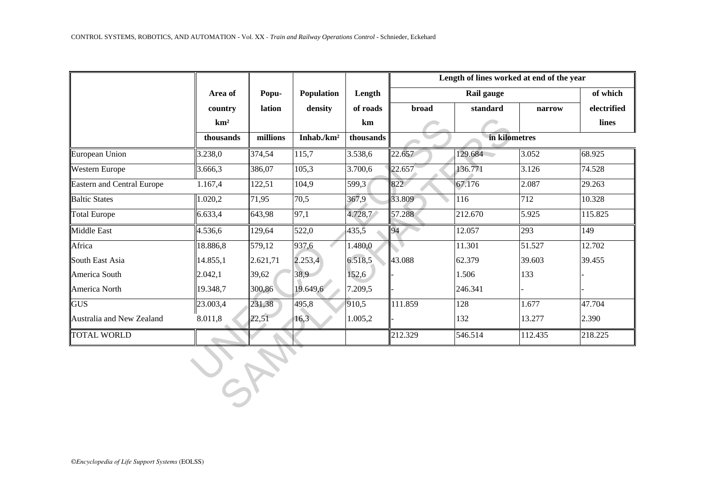|                                   |                                       |                 |                                        |                                       | Length of lines worked at end of the year |          |         |             |  |  |
|-----------------------------------|---------------------------------------|-----------------|----------------------------------------|---------------------------------------|-------------------------------------------|----------|---------|-------------|--|--|
|                                   | Area of<br>country<br>km <sup>2</sup> | Popu-<br>lation | Population<br>density<br>Inhab./ $km2$ | Length<br>of roads<br>km<br>thousands |                                           | of which |         |             |  |  |
|                                   |                                       |                 |                                        |                                       | <b>broad</b>                              | standard | narrow  | electrified |  |  |
|                                   |                                       |                 |                                        |                                       |                                           |          |         | lines       |  |  |
|                                   | thousands                             | millions        |                                        |                                       | in kilometres                             |          |         |             |  |  |
| European Union                    | 3.238,0                               | 374,54          | 115,7                                  | 3.538,6                               | 22.657                                    | 129.684  | 3.052   | 68.925      |  |  |
| Western Europe                    | 3.666,3                               | 386,07          | 105,3                                  | 3.700,6                               | 22.657                                    | 136.771  | 3.126   | 74.528      |  |  |
| <b>Eastern and Central Europe</b> | 1.167,4                               | 122,51          | 104,9                                  | 599,3                                 | 822                                       | 67.176   | 2.087   | 29.263      |  |  |
| <b>Baltic States</b>              | 1.020,2                               | 71,95           | 70,5                                   | 367,9                                 | 33.809                                    | 116      | 712     | 10.328      |  |  |
| <b>Total Europe</b>               | 6.633,4                               | 643,98          | 97,1                                   | 4.728,7                               | 57.288                                    | 212.670  | 5.925   | 115.825     |  |  |
| <b>Middle East</b>                | 4.536,6                               | 129,64          | 522,0                                  | 435,5                                 | 94                                        | 12.057   | 293     | 149         |  |  |
| Africa                            | 18.886,8                              | 579,12          | 937,6                                  | 1.480,0                               |                                           | 11.301   | 51.527  | 12.702      |  |  |
| South East Asia                   | 14.855,1                              | 2.621,71        | 2.253,4                                | 6.518,5                               | 43.088                                    | 62.379   | 39.603  | 39.455      |  |  |
| America South                     | 2.042,1                               | 39,62           | 38,9                                   | 152,6                                 |                                           | 1.506    | 133     |             |  |  |
| America North                     | 19.348,7                              | 300,86          | 19.649,6                               | 7.209,5                               |                                           | 246.341  |         |             |  |  |
| <b>GUS</b>                        | 23.003,4                              | 231,38          | 495,8                                  | 910,5                                 | 111.859                                   | 128      | 1.677   | 47.704      |  |  |
| Australia and New Zealand         | 8.011,8                               | 22,51           | 16,3                                   | 1.005,2                               |                                           | 132      | 13.277  | 2.390       |  |  |
| TOTAL WORLD                       |                                       |                 |                                        |                                       | 212.329                                   | 546.514  | 112.435 | 218.225     |  |  |
|                                   |                                       |                 |                                        |                                       |                                           |          |         |             |  |  |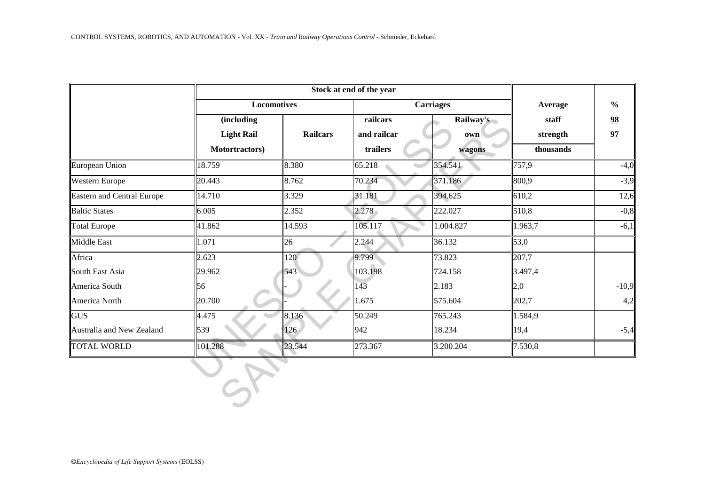|                                   |                    | Stock at end of the year |                     |                  |           |                           |  |  |
|-----------------------------------|--------------------|--------------------------|---------------------|------------------|-----------|---------------------------|--|--|
|                                   | <b>Locomotives</b> |                          |                     | <b>Carriages</b> | Average   | $\frac{0}{0}$<br>98<br>97 |  |  |
|                                   | (including         |                          | railcars            | Railway's        | staff     |                           |  |  |
|                                   | <b>Light Rail</b>  | <b>Railcars</b>          | and railcar         | own              | strength  |                           |  |  |
|                                   | Motortractors)     |                          | trailers            | wagons           | thousands |                           |  |  |
| European Union                    | 18.759             | 8.380                    | 65.218              | 354.541          | 757,9     | $-4,0$                    |  |  |
| Western Europe                    | 20.443             | 8.762                    | 70.234              | 371.186          | 800,9     | $-3,9$                    |  |  |
| <b>Eastern and Central Europe</b> | 14.710             | 3.329                    | 31.181              | 394.625          | 610,2     | 12,6                      |  |  |
| <b>Baltic States</b>              | 6.005              | 2.352                    | 2.278               | 222.027          | 510,8     | $-0,8$                    |  |  |
| <b>Total Europe</b>               | 41.862             | 14.593                   | 105.117             | 1.004.827        | 1.963,7   | $-6,1$                    |  |  |
| Middle East                       | 1.071              | 26                       | 2.244               | 36.132           | 53,0      |                           |  |  |
| Africa                            | 2.623              | 120                      | 9.799               | 73.823           | 207,7     |                           |  |  |
| South East Asia                   | 29.962             | 543                      | 103.198             | 724.158          | 3.497,4   |                           |  |  |
| America South                     | 56                 |                          | 143                 | 2.183            | 2,0       | $-10,9$                   |  |  |
| America North                     | 20.700             |                          | 1.675               | 575.604          | 202,7     | 4,2                       |  |  |
| <b>GUS</b>                        | 4.475              | 8.136                    | $50.\overline{249}$ | 765.243          | 1.584,9   |                           |  |  |
| Australia and New Zealand         | 539                | 126                      | 942                 | 18.234           | 19,4      | $-5,4$                    |  |  |
| <b>TOTAL WORLD</b>                | 101.288            | 23.544                   | 273.367             | 3.200.204        | 7.530,8   |                           |  |  |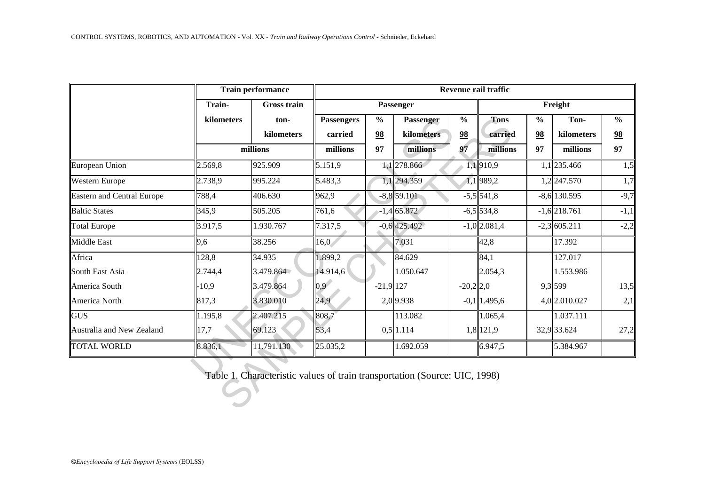|                                   | <b>Train performance</b> |                    | Revenue rail traffic         |                     |                         |                     |                        |                     |                    |                     |
|-----------------------------------|--------------------------|--------------------|------------------------------|---------------------|-------------------------|---------------------|------------------------|---------------------|--------------------|---------------------|
|                                   | Train-                   | <b>Gross train</b> | Passenger                    |                     |                         |                     | Freight                |                     |                    |                     |
|                                   | kilometers               | ton-<br>kilometers | <b>Passengers</b><br>carried | $\frac{0}{0}$<br>98 | Passenger<br>kilometers | $\frac{0}{0}$<br>98 | <b>Tons</b><br>carried | $\frac{0}{0}$<br>98 | Ton-<br>kilometers | $\frac{0}{0}$<br>98 |
|                                   |                          |                    |                              |                     |                         |                     |                        |                     |                    |                     |
|                                   | millions                 |                    | millions                     | 97                  | millions                | 97                  | millions               | 97                  | millions           | 97                  |
| European Union                    | 2.569,8                  | 925.909            | 5.151,9                      |                     | 1,1278.866              |                     | 1,1910,9               |                     | 1,1 235.466        | 1,5                 |
| Western Europe                    | 2.738,9                  | 995.224            | 5.483,3                      |                     | 1,1 294.359             |                     | 1,1989,2               |                     | $1,2$ 247.570      | 1,7                 |
| <b>Eastern and Central Europe</b> | 788,4                    | 406.630            | 962,9                        |                     | $-8,8$ 59.101           |                     | $-5,5$ 541,8           |                     | $-8,6$ 130.595     | $-9,7$              |
| <b>Baltic States</b>              | 345,9                    | 505.205            | 761,6                        |                     | $-1,465.872$            |                     | $-6,5$ 534,8           |                     | $-1,6$ 218.761     | $-1,1$              |
| <b>Total Europe</b>               | 3.917,5                  | 1.930.767          | 7.317,5                      |                     | $-0,6$ 425.492          |                     | $-1,0$ 2.081,4         |                     | $-2,3$ 605.211     | $-2,2$              |
| Middle East                       | 9,6                      | 38.256             | 16,0                         |                     | 7.031                   |                     | 42,8                   |                     | 17.392             |                     |
| Africa                            | 128,8                    | 34.935             | 1.899,2                      |                     | 84.629                  |                     | 84,1                   |                     | 127.017            |                     |
| South East Asia                   | 2.744,4                  | 3.479.864          | 14.914,6                     |                     | 1.050.647               |                     | 2.054,3                |                     | 1.553.986          |                     |
| America South                     | $-10,9$                  | 3.479.864          | 0.9 <sup>2</sup>             | $-21,9$ 127         |                         | $-20,2$ 2,0         |                        |                     | 9,3 599            | 13,5                |
| America North                     | 817,3                    | 3.830.010          | $24.9^{\circ}$               |                     | 2,0 9.938               |                     | $-0,1$   1.495,6       |                     | 4,0 2.010.027      | 2,1                 |
| <b>GUS</b>                        | 1.195,8                  | 2.407.215          | 808,7                        |                     | 113.082                 |                     | 1.065,4                |                     | 1.037.111          |                     |
| Australia and New Zealand         | 17,7                     | 69.123             | 53,4                         |                     | $0,5$ 1.114             |                     | 1,8 121,9              |                     | 32,9 33.624        | 27,2                |
| <b>TOTAL WORLD</b>                | 8.836,1                  | 11.791.130         | 25.035,2                     |                     | 1.692.059               |                     | 6.947,5                |                     | 5.384.967          |                     |